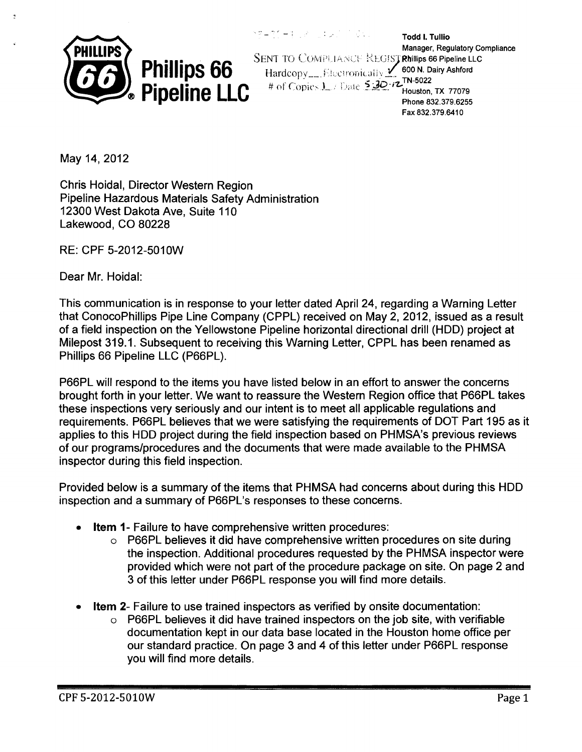

'---- -.; Todd I. Tullio Manager, Regulatory Compliance SENT TO COMPLIANCE REGISTRIFIlips 66 Pipeline LLC Hardcopy...... Electronically 2 600 N. Dairy Ashford **Hendridge 1.1.1.1.2000 Incompany**<br># of Copies 1. *I* Date 5:30.<sup>7</sup> Houston, TX 77079 Phone 832.379.6255 Fax 832.379.6410

May 14, 2012

f,

Chris Hoidal, Director Western Region Pipeline Hazardous Materials Safety Administration 12300 West Dakota Ave, Suite 110 Lakewood, CO 80228

RE: CPF 5-2012-501 OW

Dear Mr. Hoidal:

This communication is in response to your letter dated April 24, regarding a Warning Letter that ConocoPhillips Pipe Line Company (CPPL) received on May 2, 2012, issued as a result of a field inspection on the Yellowstone Pipeline horizontal directional drill (HOD) project at Milepost 319.1. Subsequent to receiving this Warning Letter, CPPL has been renamed as Phillips 66 Pipeline LLC (P66PL).

P66PL will respond to the items you have listed below in an effort to answer the concerns brought forth in your letter. We want to reassure the Western Region office that P66PL takes these inspections very seriously and our intent is to meet all applicable regulations and requirements. P66PL believes that we were satisfying the requirements of DOT Part 195 as it applies to this HOD project during the field inspection based on PHMSA's previous reviews of our programs/procedures and the documents that were made available to the PHMSA inspector during this field inspection.

Provided below is a summary of the items that PHMSA had concerns about during this HOD inspection and a summary of P66PL's responses to these concerns.

- **Item 1- Failure to have comprehensive written procedures:** 
	- o P66PL believes it did have comprehensive written procedures on site during the inspection. Additional procedures requested by the PHMSA inspector were provided which were not part of the procedure package on site. On page 2 and 3 of this letter under P66PL response you will find more details.
- **Item 2-** Failure to use trained inspectors as verified by onsite documentation:
	- P66PL believes it did have trained inspectors on the job site, with verifiable documentation kept in our data base located in the Houston home office per our standard practice. On page 3 and 4 of this letter under P66PL response you will find more details.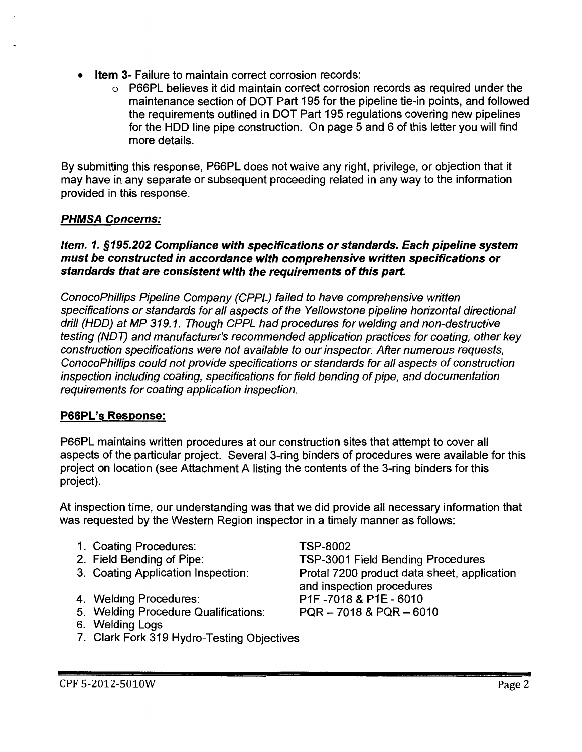- **Item 3- Failure to maintain correct corrosion records:** 
	- $\circ$  P66PL believes it did maintain correct corrosion records as required under the maintenance section of DOT Part 195 for the pipeline tie-in points, and followed the requirements outlined in DOT Part 195 regulations covering new pipelines for the HOD line pipe construction. On page 5 and 6 of this letter you will find more details.

By submitting this response, P66PL does not waive any right, privilege, or objection that it may have in any separate or subsequent proceeding related in any way to the information provided in this response.

# PHMSA Concerns:

# Item. 1. §195.202 Compliance with specifications or standards. Each pipeline system must be constructed in accordance with comprehensive written specifications or standards that are consistent with the requirements of this part.

ConocoPhillips Pipeline Company (CPPL) failed to have comprehensive written specifications or standards for all aspects of the Yellowstone pipeline horizontal directional drill (HOD) at MP 319.1. Though CPPL had procedures for welding and non-destructive testing (NOT) and manufacturer's recommended application practices for coating, other key construction specifications were not available to our inspector. After numerous requests, ConocoPhillips could not provide specifications or standards for all aspects of construction inspection including coating, specifications for field bending of pipe, and documentation requirements for coating application inspection.

# P66PL's Response:

P66PL maintains written procedures at our construction sites that attempt to cover all aspects of the particular project. Several 3-ring binders of procedures were available for this project on location (see Attachment A listing the contents of the 3-ring binders for this project).

At inspection time, our understanding was that we did provide all necessary information that was requested by the Western Region inspector in a timely manner as follows:

- 1. Coating Procedures:
- 2. Field Bending of Pipe:
- 3. Coating Application Inspection:
- 4. Welding Procedures:
- 5. Welding Procedure Qualifications:
- 6. Welding Logs
- 7. Clark Fork 319 Hydro-Testing Objectives

TSP-8002 TSP-3001 Field Bending Procedures Protal 7200 product data sheet, application and inspection procedures P1F -7018 & P1E- 6010 PQR- 7018 & PQR- 6010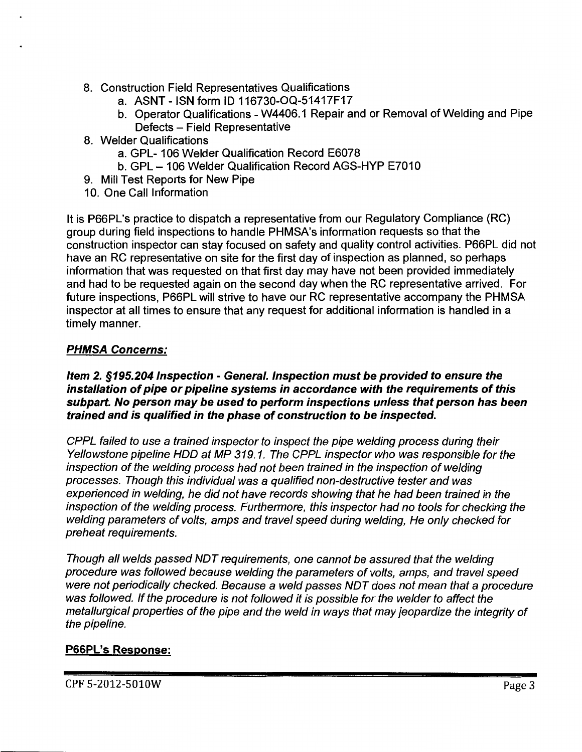- 8. Construction Field Representatives Qualifications
	- a. ASNT -ISN form ID 116730-0Q-51417F17
	- b. Operator Qualifications W4406.1 Repair and or Removal of Welding and Pipe Defects - Field Representative
- 8. Welder Qualifications
	- a. GPL- 106 Welder Qualification Record E6078
	- b. GPL- 106 Welder Qualification Record AGS-HYP E7010
- 9. Mill Test Reports for New Pipe
- 10. One Call Information

It is P66PL's practice to dispatch a representative from our Regulatory Compliance (RC) group during field inspections to handle PHMSA's information requests so that the construction inspector can stay focused on safety and quality control activities. P66PL did not have an RC representative on site for the first day of inspection as planned, so perhaps information that was requested on that first day may have not been provided immediately and had to be requested again on the second day when the RC representative arrived. For future inspections, P66PL will strive to have our RC representative accompany the PHMSA inspector at all times to ensure that any request for additional information is handled in a timely manner.

# PHMSA Concerns:

#### Item 2. §195.204 Inspection - General. Inspection must be provided to ensure the installation of pipe or pipeline systems in accordance with the requirements of this subpart. No person may be used to perform inspections unless that person has been trained and is qualified in the phase of construction to be inspected.

CPPL failed to use a trained inspector to inspect the pipe welding process during their Yellowstone pipeline HOD at MP 319. 1. The CPPL inspector who was responsible for the inspection of the welding process had not been trained in the inspection of welding processes. Though this individual was a qualified non-destructive tester and was experienced in welding, he did not have records showing that he had been trained in the inspection of the welding process. Furthermore, this inspector had no tools for checking the welding parameters of volts, amps and travel speed during welding, He only checked for preheat requirements.

Though all welds passed NOT requirements, one cannot be assured that the welding procedure was followed because welding the parameters of volts, amps, and travel speed were not periodically checked. Because a weld passes NOT does not mean that a procedure was followed. If the procedure is not followed it is possible for the welder to affect the metallurgical properties of the pipe and the weld in ways that may jeopardize the integrity of the pipeline.

# P66PL's Response: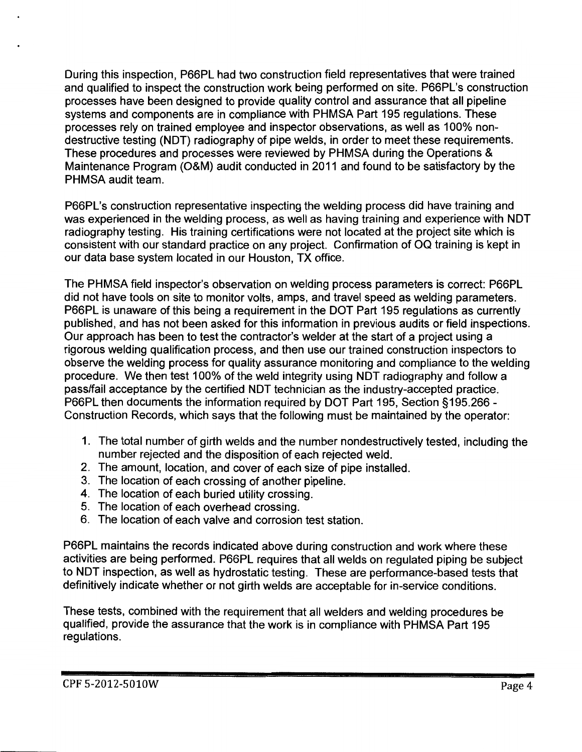During this inspection, P66PL had two construction field representatives that were trained and qualified to inspect the construction work being performed on site. P66PL's construction processes have been designed to provide quality control and assurance that all pipeline systems and components are in compliance with PHMSA Part 195 regulations. These processes rely on trained employee and inspector observations, as well as 100% nondestructive testing (NOT) radiography of pipe welds, in order to meet these requirements. These procedures and processes were reviewed by PHMSA during the Operations & Maintenance Program (O&M) audit conducted in 2011 and found to be satisfactory by the PHMSA audit team.

P66PL's construction representative inspecting the welding process did have training and was experienced in the welding process, as well as having training and experience with NOT radiography testing. His training certifications were not located at the project site which is consistent with our standard practice on any project. Confirmation of OQ training is kept in our data base system located in our Houston, TX office.

The PHMSA field inspector's observation on welding process parameters is correct: P66PL did not have tools on site to monitor volts, amps, and travel speed as welding parameters. P66PL is unaware of this being a requirement in the DOT Part 195 regulations as currently published, and has not been asked for this information in previous audits or field inspections. Our approach has been to test the contractor's welder at the start of a project using a rigorous welding qualification process, and then use our trained construction inspectors to observe the welding process for quality assurance monitoring and compliance to the welding procedure. We then test 100% of the weld integrity using NOT radiography and follow a pass/fail acceptance by the certified NOT technician as the industry-accepted practice. P66PL then documents the information required by DOT Part 195, Section § 195.266 - Construction Records, which says that the following must be maintained by the operator:

- 1. The total number of girth welds and the number nondestructively tested, including the number rejected and the disposition of each rejected weld.
- 2. The amount, location, and cover of each size of pipe installed.
- 3. The location of each crossing of another pipeline.
- 4. The location of each buried utility crossing.
- 5. The location of each overhead crossing.
- 6. The location of each valve and corrosion test station.

P66PL maintains the records indicated above during construction and work where these activities are being performed. P66PL requires that all welds on regulated piping be subject to NOT inspection, as well as hydrostatic testing. These are performance-based tests that definitively indicate whether or not girth welds are acceptable for in-service conditions.

These tests, combined with the requirement that all welders and welding procedures be qualified, provide the assurance that the work is in compliance with PHMSA Part 195 regulations.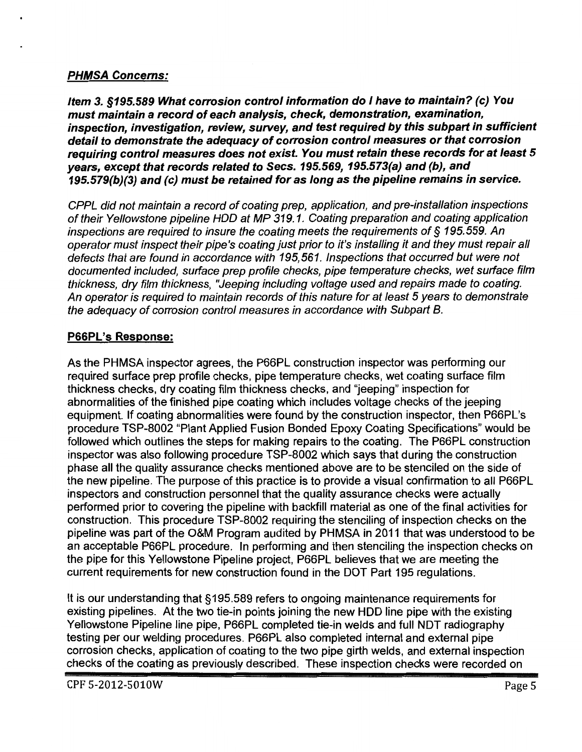# PHMSA Concerns:

Item 3. §195.589 What corrosion control information do I have to maintain? (c) You must maintain a record of each analysis, check, demonstration, examination, inspection, investigation, review, survey, and test required by this subpart in sufficient detail to demonstrate the adequacy of corrosion control measures or that corrosion requiring control measures does not exist. You must retain these records for at least 5 years, except that records related to Sees. 195.569, 195.573(a) and (b), and 195.579(b)(3) and (c) must be retained for as long as the pipeline remains in service.

CPPL did not maintain a record of coating prep, application, and pre-installation inspections of their Yellowstone pipeline HOD at MP 319. 1. Coating preparation and coating application inspections are required to insure the coating meets the requirements of§ 195.559. An operator must inspect their pipe's coating just prior to it's installing it and they must repair all defects that are found in accordance with 195,561. Inspections that occurred but were not documented included, surface prep profile checks, pipe temperature checks, wet surface film thickness, dry film thickness, "Jeeping including voltage used and repairs made to coating. An operator is required to maintain records of this nature for at least 5 years to demonstrate the adequacy of corrosion control measures in accordance with Subpart B.

# P66PL's Response:

As the PHMSA inspector agrees, the P66PL construction inspector was performing our required surface prep profile checks, pipe temperature checks, wet coating surface film thickness checks, dry coating film thickness checks, and "jeeping" inspection for abnormalities of the finished pipe coating which includes voltage checks of the jeeping equipment. If coating abnormalities were found by the construction inspector, then P66PL's procedure TSP-8002 "Plant Applied Fusion Bonded Epoxy Coating Specifications" would be followed which outlines the steps for making repairs to the coating. The P66PL construction inspector was also following procedure TSP-8002 which says that during the construction phase all the quality assurance checks mentioned above are to be stenciled on the side of the new pipeline. The purpose of this practice is to provide a visual confirmation to all P66PL inspectors and construction personnel that the quality assurance checks were actually performed prior to covering the pipeline with backfill material as one of the final activities for construction. This procedure TSP-8002 requiring the stenciling of inspection checks on the pipeline was part of the O&M Program audited by PHMSA in 2011 that was understood to be an acceptable P66PL procedure. In performing and then stenciling the inspection checks on the pipe for this Yellowstone Pipeline project, P66PL believes that we are meeting the current requirements for new construction found in the DOT Part 195 regulations.

It is our understanding that §195.589 refers to ongoing maintenance requirements for existing pipelines. At the two tie-in points joining the new HOD line pipe with the existing Yellowstone Pipeline line pipe, P66PL completed tie-in welds and full NOT radiography testing per our welding procedures. P66PL also completed internal and external pipe corrosion checks, application of coating to the two pipe girth welds, and external inspection checks of the coating as previously described. These inspection checks were recorded on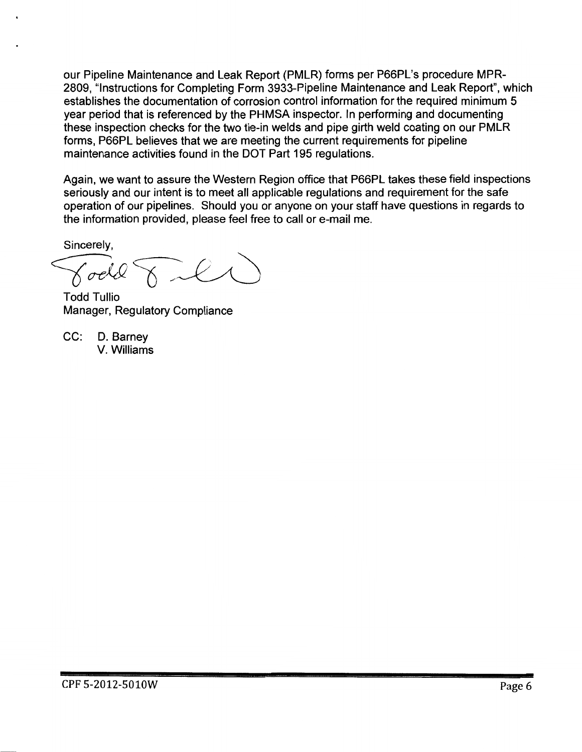our Pipeline Maintenance and Leak Report (PMLR) forms per P66PL's procedure MPR-2809, "Instructions for Completing Form 3933-Pipeline Maintenance and Leak Report", which establishes the documentation of corrosion control information for the required minimum 5 year period that is referenced by the PHMSA inspector. In performing and documenting these inspection checks for the two tie-in welds and pipe girth weld coating on our PMLR forms, P66PL believes that we are meeting the current requirements for pipeline maintenance activities found in the DOT Part 195 regulations.

Again, we want to assure the Western Region office that P66PL takes these field inspections seriously and our intent is to meet all applicable regulations and requirement for the safe operation of our pipelines. Should you or anyone on your staff have questions in regards to the information provided, please feel free to call or e-mail me.

Sincerely,

Todd Tullio

Manager, Regulatory Compliance

CC: D. Barney V. Williams